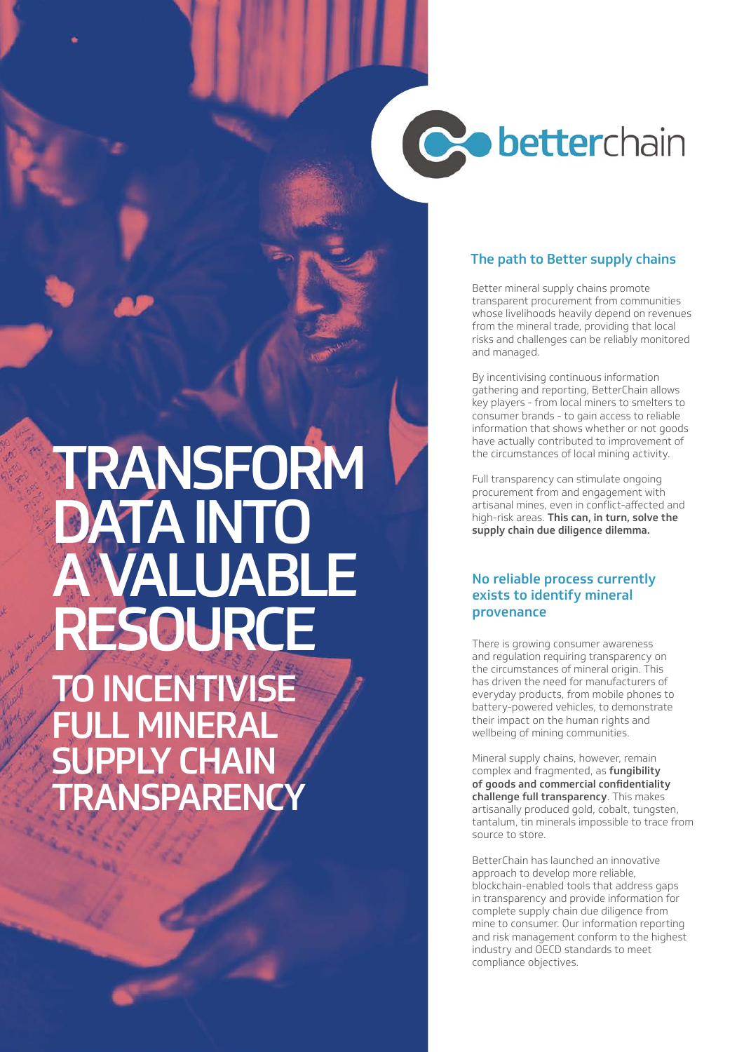# **Cobetterchain**

# TRANSFORM DATA INTO A VALUABLE RESOURCE

TO INCENTIVISE FULL MINERAL **SUPPLY CHAIN TRANSPARENC** 

## The path to Better supply chains

Better mineral supply chains promote transparent procurement from communities whose livelihoods heavily depend on revenues from the mineral trade, providing that local risks and challenges can be reliably monitored and managed.

By incentivising continuous information gathering and reporting, BetterChain allows key players - from local miners to smelters to consumer brands - to gain access to reliable information that shows whether or not goods have actually contributed to improvement of the circumstances of local mining activity.

Full transparency can stimulate ongoing procurement from and engagement with artisanal mines, even in conflict-affected and high-risk areas. This can, in turn, solve the supply chain due diligence dilemma.

### No reliable process currently exists to identify mineral provenance

There is growing consumer awareness and regulation requiring transparency on the circumstances of mineral origin. This has driven the need for manufacturers of everyday products, from mobile phones to battery-powered vehicles, to demonstrate their impact on the human rights and wellbeing of mining communities.

Mineral supply chains, however, remain complex and fragmented, as fungibility of goods and commercial confidentiality challenge full transparency. This makes artisanally produced gold, cobalt, tungsten, tantalum, tin minerals impossible to trace from source to store.

BetterChain has launched an innovative approach to develop more reliable, blockchain-enabled tools that address gaps in transparency and provide information for complete supply chain due diligence from mine to consumer. Our information reporting and risk management conform to the highest industry and OECD standards to meet compliance objectives.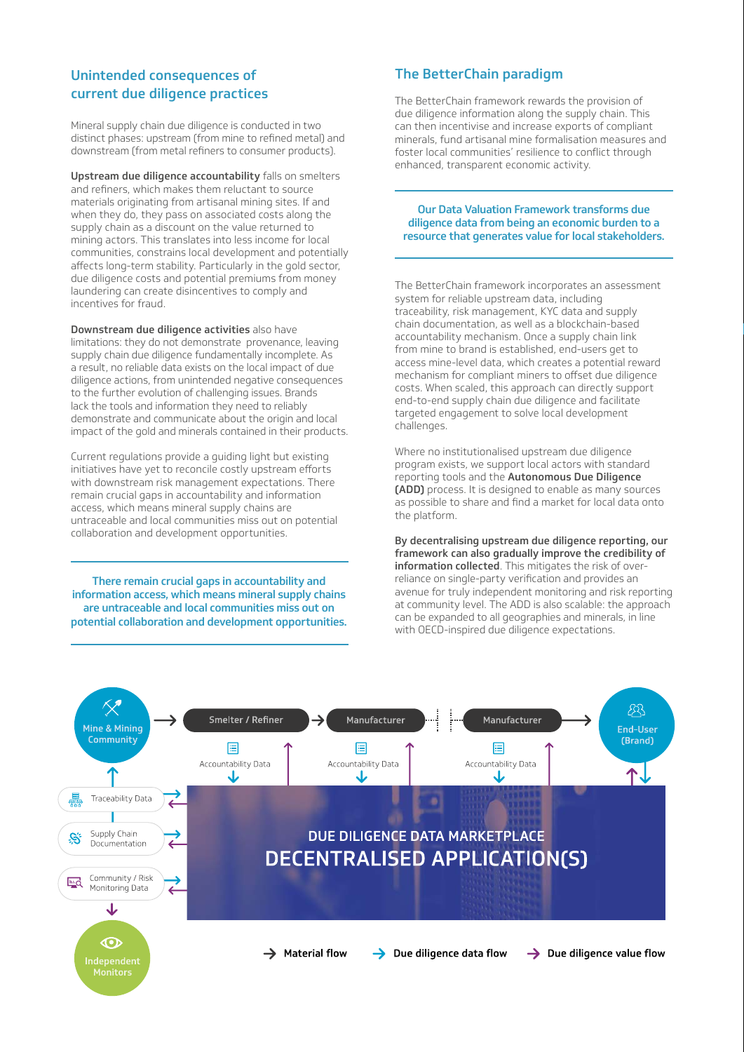# Unintended consequences of current due diligence practices

Mineral supply chain due diligence is conducted in two distinct phases: upstream (from mine to refined metal) and downstream (from metal refiners to consumer products).

Upstream due diligence accountability falls on smelters and refiners, which makes them reluctant to source materials originating from artisanal mining sites. If and when they do, they pass on associated costs along the supply chain as a discount on the value returned to mining actors. This translates into less income for local communities, constrains local development and potentially affects long-term stability. Particularly in the gold sector, due diligence costs and potential premiums from money laundering can create disincentives to comply and incentives for fraud.

Downstream due diligence activities also have limitations: they do not demonstrate provenance, leaving supply chain due diligence fundamentally incomplete. As a result, no reliable data exists on the local impact of due diligence actions, from unintended negative consequences to the further evolution of challenging issues. Brands lack the tools and information they need to reliably demonstrate and communicate about the origin and local impact of the gold and minerals contained in their products.

Current regulations provide a guiding light but existing initiatives have yet to reconcile costly upstream efforts with downstream risk management expectations. There remain crucial gaps in accountability and information access, which means mineral supply chains are untraceable and local communities miss out on potential collaboration and development opportunities.

There remain crucial gaps in accountability and information access, which means mineral supply chains are untraceable and local communities miss out on potential collaboration and development opportunities.

# The BetterChain paradigm

The BetterChain framework rewards the provision of due diligence information along the supply chain. This can then incentivise and increase exports of compliant minerals, fund artisanal mine formalisation measures and foster local communities' resilience to conflict through enhanced, transparent economic activity.

### Our Data Valuation Framework transforms due diligence data from being an economic burden to a resource that generates value for local stakeholders.

The BetterChain framework incorporates an assessment system for reliable upstream data, including traceability, risk management, KYC data and supply chain documentation, as well as a blockchain-based accountability mechanism. Once a supply chain link from mine to brand is established, end-users get to access mine-level data, which creates a potential reward mechanism for compliant miners to offset due diligence costs. When scaled, this approach can directly support end-to-end supply chain due diligence and facilitate targeted engagement to solve local development challenges.

Where no institutionalised upstream due diligence program exists, we support local actors with standard reporting tools and the Autonomous Due Diligence (ADD) process. It is designed to enable as many sources as possible to share and find a market for local data onto the platform.

By decentralising upstream due diligence reporting, our framework can also gradually improve the credibility of information collected. This mitigates the risk of overreliance on single-party verification and provides an avenue for truly independent monitoring and risk reporting at community level. The ADD is also scalable: the approach can be expanded to all geographies and minerals, in line with OECD-inspired due diligence expectations.

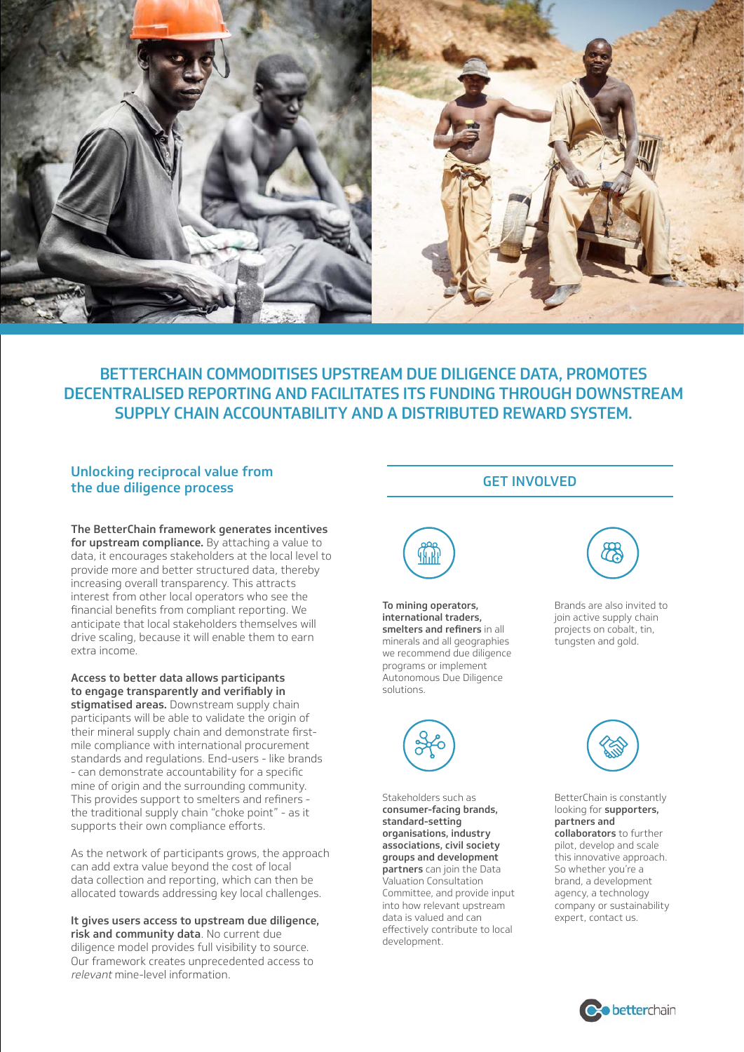

# BETTERCHAIN COMMODITISES UPSTREAM DUE DILIGENCE DATA, PROMOTES DECENTRALISED REPORTING AND FACILITATES ITS FUNDING THROUGH DOWNSTREAM SUPPLY CHAIN ACCOUNTABILITY AND A DISTRIBUTED REWARD SYSTEM.

# Unlocking reciprocal value from the due diligence process

The BetterChain framework generates incentives for upstream compliance. By attaching a value to data, it encourages stakeholders at the local level to provide more and better structured data, thereby increasing overall transparency. This attracts interest from other local operators who see the financial benefits from compliant reporting. We anticipate that local stakeholders themselves will drive scaling, because it will enable them to earn extra income.

Access to better data allows participants to engage transparently and verifiably in stigmatised areas. Downstream supply chain participants will be able to validate the origin of their mineral supply chain and demonstrate firstmile compliance with international procurement standards and regulations. End-users - like brands - can demonstrate accountability for a specific mine of origin and the surrounding community. This provides support to smelters and refiners the traditional supply chain "choke point" - as it supports their own compliance efforts.

As the network of participants grows, the approach can add extra value beyond the cost of local data collection and reporting, which can then be allocated towards addressing key local challenges.

It gives users access to upstream due diligence, risk and community data. No current due diligence model provides full visibility to source. Our framework creates unprecedented access to relevant mine-level information.

To mining operators, international traders, smelters and refiners in all minerals and all geographies we recommend due diligence programs or implement Autonomous Due Diligence solutions.



Stakeholders such as consumer-facing brands, standard-setting organisations, industry associations, civil society groups and development partners can join the Data Valuation Consultation Committee, and provide input into how relevant upstream data is valued and can effectively contribute to local development.



GET INVOLVED

Brands are also invited to join active supply chain projects on cobalt, tin, tungsten and gold.



BetterChain is constantly looking for supporters, partners and collaborators to further pilot, develop and scale this innovative approach. So whether you're a brand, a development agency, a technology company or sustainability expert, contact us.